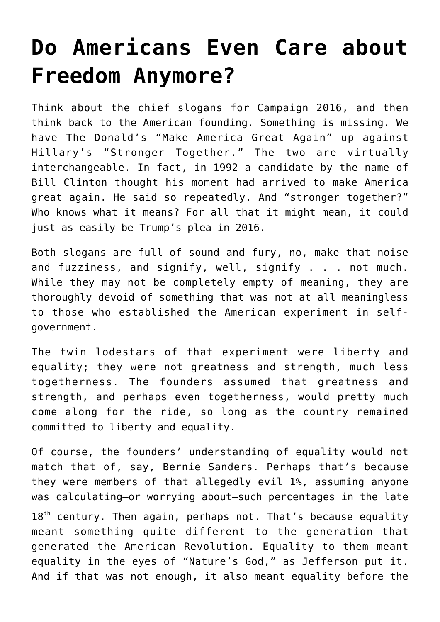## **[Do Americans Even Care about](https://intellectualtakeout.org/2016/10/do-americans-even-care-about-freedom-anymore/) [Freedom Anymore?](https://intellectualtakeout.org/2016/10/do-americans-even-care-about-freedom-anymore/)**

Think about the chief slogans for Campaign 2016, and then think back to the American founding. Something is missing. We have The Donald's "Make America Great Again" up against Hillary's "Stronger Together." The two are virtually interchangeable. In fact, in 1992 a candidate by the name of Bill Clinton thought his moment had arrived to make America great again. He said so repeatedly. And "stronger together?" Who knows what it means? For all that it might mean, it could just as easily be Trump's plea in 2016.

Both slogans are full of sound and fury, no, make that noise and fuzziness, and signify, well, signify . . . not much. While they may not be completely empty of meaning, they are thoroughly devoid of something that was not at all meaningless to those who established the American experiment in selfgovernment.

The twin lodestars of that experiment were liberty and equality; they were not greatness and strength, much less togetherness. The founders assumed that greatness and strength, and perhaps even togetherness, would pretty much come along for the ride, so long as the country remained committed to liberty and equality.

Of course, the founders' understanding of equality would not match that of, say, Bernie Sanders. Perhaps that's because they were members of that allegedly evil 1%, assuming anyone was calculating—or worrying about—such percentages in the late  $18<sup>th</sup>$  century. Then again, perhaps not. That's because equality meant something quite different to the generation that generated the American Revolution. Equality to them meant equality in the eyes of "Nature's God," as Jefferson put it. And if that was not enough, it also meant equality before the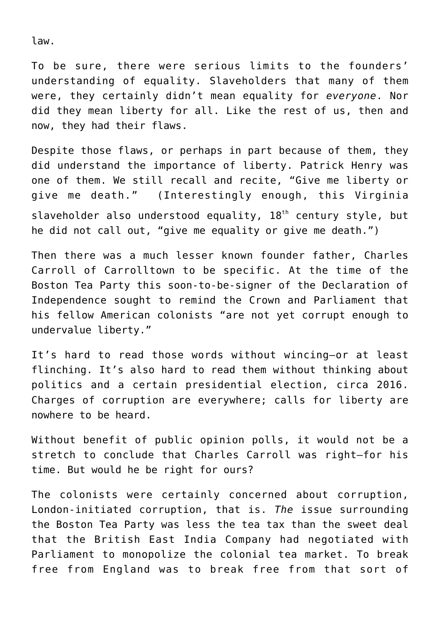law.

To be sure, there were serious limits to the founders' understanding of equality. Slaveholders that many of them were, they certainly didn't mean equality for *everyone*. Nor did they mean liberty for all. Like the rest of us, then and now, they had their flaws.

Despite those flaws, or perhaps in part because of them, they did understand the importance of liberty. Patrick Henry was one of them. We still recall and recite, "Give me liberty or give me death." (Interestingly enough, this Virginia slaveholder also understood equality, 18<sup>th</sup> century style, but he did not call out, "give me equality or give me death.")

Then there was a much lesser known founder father, Charles Carroll of Carrolltown to be specific. At the time of the Boston Tea Party this soon-to-be-signer of the Declaration of Independence sought to remind the Crown and Parliament that his fellow American colonists "are not yet corrupt enough to undervalue liberty."

It's hard to read those words without wincing—or at least flinching. It's also hard to read them without thinking about politics and a certain presidential election, circa 2016. Charges of corruption are everywhere; calls for liberty are nowhere to be heard.

Without benefit of public opinion polls, it would not be a stretch to conclude that Charles Carroll was right—for his time. But would he be right for ours?

The colonists were certainly concerned about corruption, London-initiated corruption, that is. *The* issue surrounding the Boston Tea Party was less the tea tax than the sweet deal that the British East India Company had negotiated with Parliament to monopolize the colonial tea market. To break free from England was to break free from that sort of